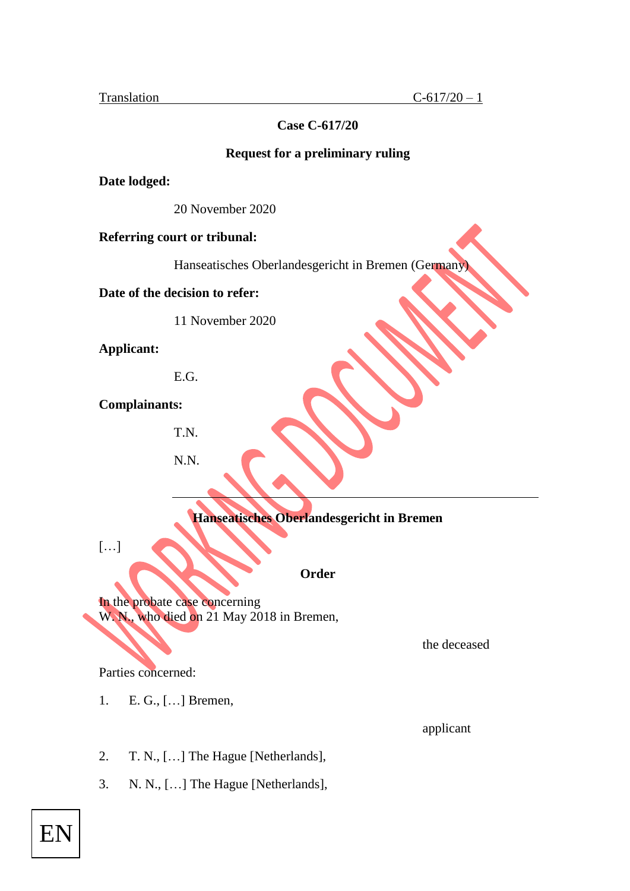## **Case C-617/20**

### **Request for a preliminary ruling**

**Date lodged:**

20 November 2020

### **Referring court or tribunal:**

Hanseatisches Oberlandesgericht in Bremen (Germany)

**Date of the decision to refer:**

11 November 2020

**Applicant:**

E.G.

**Complainants:** 

T.N.

N.N.

# **Hanseatisches Oberlandesgericht in Bremen**

 $[\ldots]$ 

**Order**

In the probate case concerning W. N., who died on 21 May 2018 in Bremen,

the deceased

Parties concerned:

1. E. G., […] Bremen,

applicant

- 2. T. N., […] The Hague [Netherlands],
- 3. N. N., […] The Hague [Netherlands],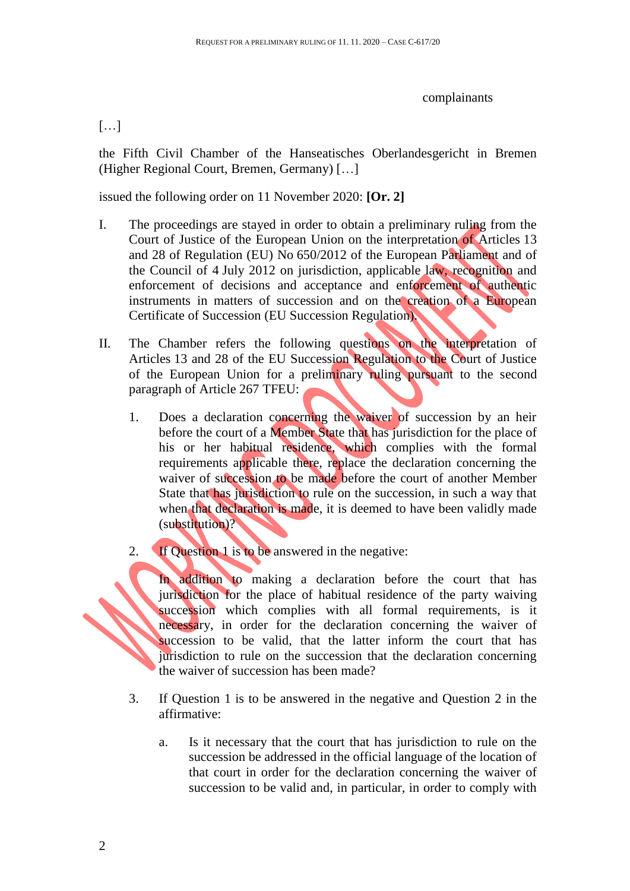### complainants

## […]

the Fifth Civil Chamber of the Hanseatisches Oberlandesgericht in Bremen (Higher Regional Court, Bremen, Germany) […]

issued the following order on 11 November 2020: **[Or. 2]**

- I. The proceedings are stayed in order to obtain a preliminary ruling from the Court of Justice of the European Union on the interpretation of Articles 13 and 28 of Regulation (EU) No 650/2012 of the European Parliament and of the Council of 4 July 2012 on jurisdiction, applicable law, recognition and enforcement of decisions and acceptance and enforcement of authentic instruments in matters of succession and on the creation of a European Certificate of Succession (EU Succession Regulation).
- II. The Chamber refers the following questions on the interpretation of Articles 13 and 28 of the EU Succession Regulation to the Court of Justice of the European Union for a preliminary ruling pursuant to the second paragraph of Article 267 TFEU:
	- 1. Does a declaration concerning the waiver of succession by an heir before the court of a Member State that has jurisdiction for the place of his or her habitual residence, which complies with the formal requirements applicable there, replace the declaration concerning the waiver of succession to be made before the court of another Member State that has jurisdiction to rule on the succession, in such a way that when that declaration is made, it is deemed to have been validly made (substitution)?
	- 2. If Question 1 is to be answered in the negative:

In addition to making a declaration before the court that has jurisdiction for the place of habitual residence of the party waiving succession which complies with all formal requirements, is it necessary, in order for the declaration concerning the waiver of succession to be valid, that the latter inform the court that has jurisdiction to rule on the succession that the declaration concerning the waiver of succession has been made?

- 3. If Question 1 is to be answered in the negative and Question 2 in the affirmative:
	- a. Is it necessary that the court that has jurisdiction to rule on the succession be addressed in the official language of the location of that court in order for the declaration concerning the waiver of succession to be valid and, in particular, in order to comply with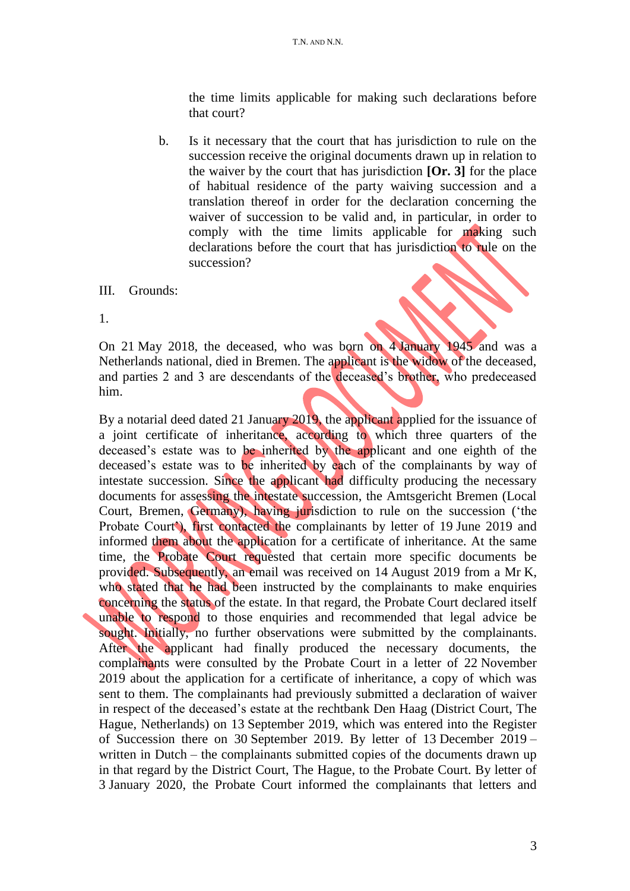the time limits applicable for making such declarations before that court?

b. Is it necessary that the court that has jurisdiction to rule on the succession receive the original documents drawn up in relation to the waiver by the court that has jurisdiction **[Or. 3]** for the place of habitual residence of the party waiving succession and a translation thereof in order for the declaration concerning the waiver of succession to be valid and, in particular, in order to comply with the time limits applicable for making such declarations before the court that has jurisdiction to rule on the succession?

#### III. Grounds:

1.

On 21 May 2018, the deceased, who was born on 4 January 1945 and was a Netherlands national, died in Bremen. The applicant is the widow of the deceased, and parties 2 and 3 are descendants of the deceased's brother, who predeceased him.

By a notarial deed dated 21 January 2019, the applicant applied for the issuance of a joint certificate of inheritance, according to which three quarters of the deceased's estate was to be inherited by the applicant and one eighth of the deceased's estate was to be inherited by each of the complainants by way of intestate succession. Since the applicant had difficulty producing the necessary documents for assessing the intestate succession, the Amtsgericht Bremen (Local Court, Bremen, Germany), having jurisdiction to rule on the succession ('the Probate Court<sup>\*</sup>), first contacted the complainants by letter of 19 June 2019 and informed them about the application for a certificate of inheritance. At the same time, the Probate Court requested that certain more specific documents be provided. Subsequently, an email was received on 14 August 2019 from a Mr K, who stated that he had been instructed by the complainants to make enquiries concerning the status of the estate. In that regard, the Probate Court declared itself unable to respond to those enquiries and recommended that legal advice be sought. Initially, no further observations were submitted by the complainants. After the applicant had finally produced the necessary documents, the complainants were consulted by the Probate Court in a letter of 22 November 2019 about the application for a certificate of inheritance, a copy of which was sent to them. The complainants had previously submitted a declaration of waiver in respect of the deceased's estate at the rechtbank Den Haag (District Court, The Hague, Netherlands) on 13 September 2019, which was entered into the Register of Succession there on 30 September 2019. By letter of 13 December 2019 – written in Dutch – the complainants submitted copies of the documents drawn up in that regard by the District Court, The Hague, to the Probate Court. By letter of 3 January 2020, the Probate Court informed the complainants that letters and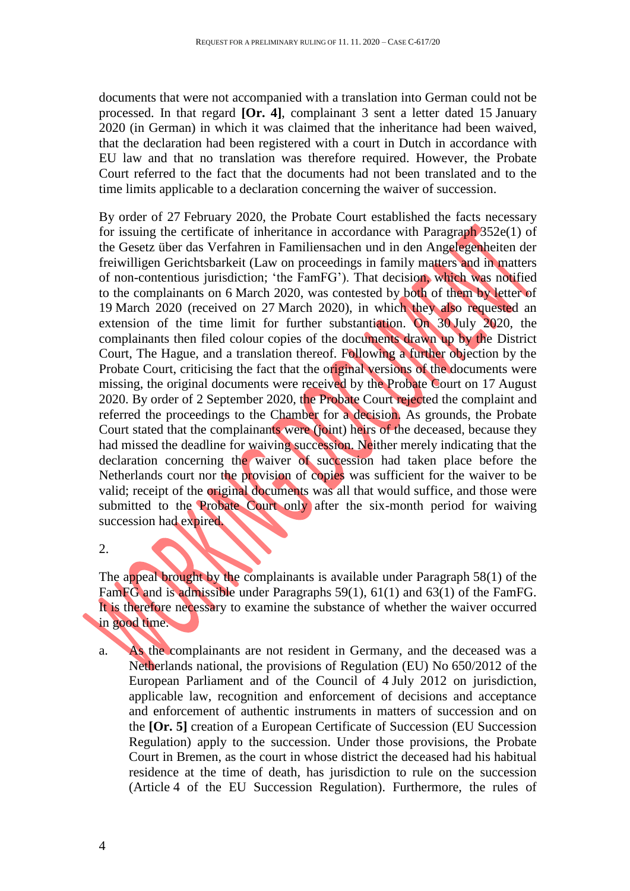documents that were not accompanied with a translation into German could not be processed. In that regard **[Or. 4]**, complainant 3 sent a letter dated 15 January 2020 (in German) in which it was claimed that the inheritance had been waived, that the declaration had been registered with a court in Dutch in accordance with EU law and that no translation was therefore required. However, the Probate Court referred to the fact that the documents had not been translated and to the time limits applicable to a declaration concerning the waiver of succession.

By order of 27 February 2020, the Probate Court established the facts necessary for issuing the certificate of inheritance in accordance with Paragraph 352e(1) of the Gesetz über das Verfahren in Familiensachen und in den Angelegenheiten der freiwilligen Gerichtsbarkeit (Law on proceedings in family matters and in matters of non-contentious jurisdiction; 'the FamFG'). That decision, which was notified to the complainants on 6 March 2020, was contested by both of them by letter of 19 March 2020 (received on 27 March 2020), in which they also requested an extension of the time limit for further substantiation. On 30 July 2020, the complainants then filed colour copies of the documents drawn up by the District Court, The Hague, and a translation thereof. Following a further objection by the Probate Court, criticising the fact that the original versions of the documents were missing, the original documents were received by the Probate Court on 17 August 2020. By order of 2 September 2020, the Probate Court rejected the complaint and referred the proceedings to the Chamber for a decision. As grounds, the Probate Court stated that the complainants were (joint) heirs of the deceased, because they had missed the deadline for waiving succession. Neither merely indicating that the declaration concerning the waiver of succession had taken place before the Netherlands court nor the provision of copies was sufficient for the waiver to be valid; receipt of the original documents was all that would suffice, and those were submitted to the Probate Court only after the six-month period for waiving succession had expired.

2.

The appeal brought by the complainants is available under Paragraph 58(1) of the FamFG and is admissible under Paragraphs 59(1), 61(1) and 63(1) of the FamFG. It is therefore necessary to examine the substance of whether the waiver occurred in good time.

a. As the complainants are not resident in Germany, and the deceased was a Netherlands national, the provisions of Regulation (EU) No 650/2012 of the European Parliament and of the Council of 4 July 2012 on jurisdiction, applicable law, recognition and enforcement of decisions and acceptance and enforcement of authentic instruments in matters of succession and on the **[Or. 5]** creation of a European Certificate of Succession (EU Succession Regulation) apply to the succession. Under those provisions, the Probate Court in Bremen, as the court in whose district the deceased had his habitual residence at the time of death, has jurisdiction to rule on the succession (Article 4 of the EU Succession Regulation). Furthermore, the rules of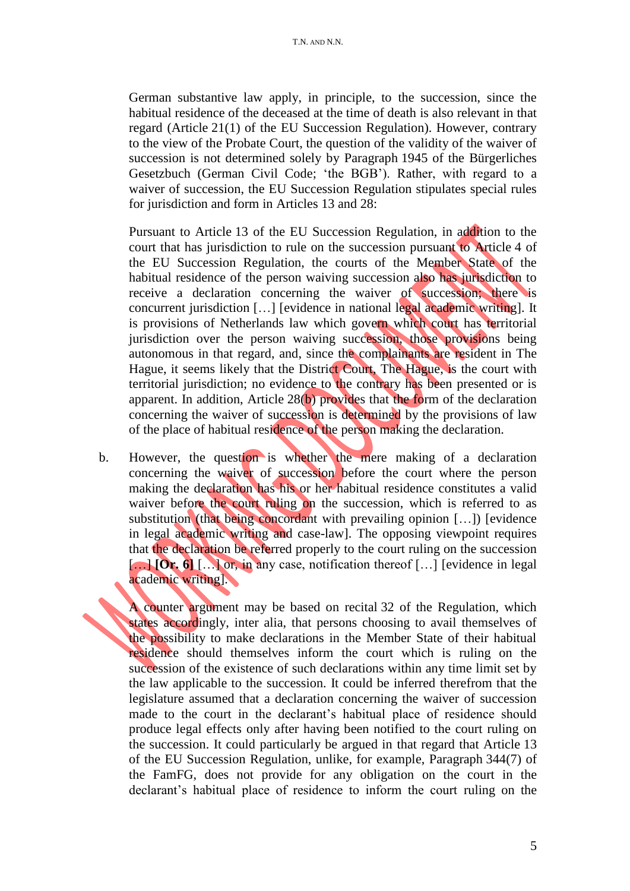German substantive law apply, in principle, to the succession, since the habitual residence of the deceased at the time of death is also relevant in that regard (Article 21(1) of the EU Succession Regulation). However, contrary to the view of the Probate Court, the question of the validity of the waiver of succession is not determined solely by Paragraph 1945 of the Bürgerliches Gesetzbuch (German Civil Code; 'the BGB'). Rather, with regard to a waiver of succession, the EU Succession Regulation stipulates special rules for jurisdiction and form in Articles 13 and 28:

Pursuant to Article 13 of the EU Succession Regulation, in addition to the court that has jurisdiction to rule on the succession pursuant to Article 4 of the EU Succession Regulation, the courts of the Member State of the habitual residence of the person waiving succession also has jurisdiction to receive a declaration concerning the waiver of succession; there is concurrent jurisdiction […] [evidence in national legal academic writing]. It is provisions of Netherlands law which govern which court has territorial jurisdiction over the person waiving succession, those provisions being autonomous in that regard, and, since the complainants are resident in The Hague, it seems likely that the District Court, The Hague, is the court with territorial jurisdiction; no evidence to the contrary has been presented or is apparent. In addition, Article 28(b) provides that the form of the declaration concerning the waiver of succession is determined by the provisions of law of the place of habitual residence of the person making the declaration.

b. However, the question is whether the mere making of a declaration concerning the waiver of succession before the court where the person making the declaration has his or her habitual residence constitutes a valid waiver before the court ruling on the succession, which is referred to as substitution (that being concordant with prevailing opinion […]) [evidence in legal academic writing and case-law]. The opposing viewpoint requires that the declaration be referred properly to the court ruling on the succession [...] **[Or. 6]** [...] or, in any case, notification thereof [...] [evidence in legal] academic writing].

A counter argument may be based on recital 32 of the Regulation, which states accordingly, inter alia, that persons choosing to avail themselves of the possibility to make declarations in the Member State of their habitual residence should themselves inform the court which is ruling on the succession of the existence of such declarations within any time limit set by the law applicable to the succession. It could be inferred therefrom that the legislature assumed that a declaration concerning the waiver of succession made to the court in the declarant's habitual place of residence should produce legal effects only after having been notified to the court ruling on the succession. It could particularly be argued in that regard that Article 13 of the EU Succession Regulation, unlike, for example, Paragraph 344(7) of the FamFG, does not provide for any obligation on the court in the declarant's habitual place of residence to inform the court ruling on the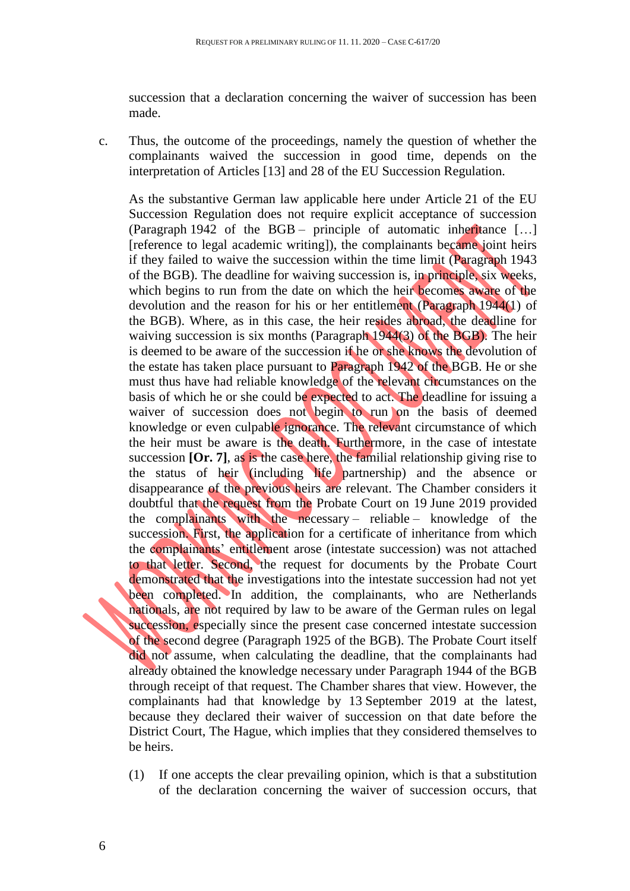succession that a declaration concerning the waiver of succession has been made.

c. Thus, the outcome of the proceedings, namely the question of whether the complainants waived the succession in good time, depends on the interpretation of Articles [13] and 28 of the EU Succession Regulation.

As the substantive German law applicable here under Article 21 of the EU Succession Regulation does not require explicit acceptance of succession (Paragraph 1942 of the BGB – principle of automatic inheritance […] [reference to legal academic writing]), the complainants became joint heirs if they failed to waive the succession within the time limit (Paragraph 1943 of the BGB). The deadline for waiving succession is, in principle, six weeks, which begins to run from the date on which the heir becomes aware of the devolution and the reason for his or her entitlement (Paragraph 1944(1) of the BGB). Where, as in this case, the heir resides abroad, the deadline for waiving succession is six months (Paragraph 1944(3) of the BGB). The heir is deemed to be aware of the succession if he or she knows the devolution of the estate has taken place pursuant to Paragraph 1942 of the BGB. He or she must thus have had reliable knowledge of the relevant circumstances on the basis of which he or she could be expected to act. The deadline for issuing a waiver of succession does not begin to run on the basis of deemed knowledge or even culpable ignorance. The relevant circumstance of which the heir must be aware is the death. Furthermore, in the case of intestate succession **[Or. 7]**, as is the case here, the familial relationship giving rise to the status of heir (including life partnership) and the absence or disappearance of the previous heirs are relevant. The Chamber considers it doubtful that the request from the Probate Court on 19 June 2019 provided the complainants with the necessary – reliable – knowledge of the succession. First, the application for a certificate of inheritance from which the complainants' entitlement arose (intestate succession) was not attached to that letter. Second, the request for documents by the Probate Court demonstrated that the investigations into the intestate succession had not yet been completed. In addition, the complainants, who are Netherlands nationals, are not required by law to be aware of the German rules on legal succession, especially since the present case concerned intestate succession of the second degree (Paragraph 1925 of the BGB). The Probate Court itself did not assume, when calculating the deadline, that the complainants had already obtained the knowledge necessary under Paragraph 1944 of the BGB through receipt of that request. The Chamber shares that view. However, the complainants had that knowledge by 13 September 2019 at the latest, because they declared their waiver of succession on that date before the District Court, The Hague, which implies that they considered themselves to be heirs.

(1) If one accepts the clear prevailing opinion, which is that a substitution of the declaration concerning the waiver of succession occurs, that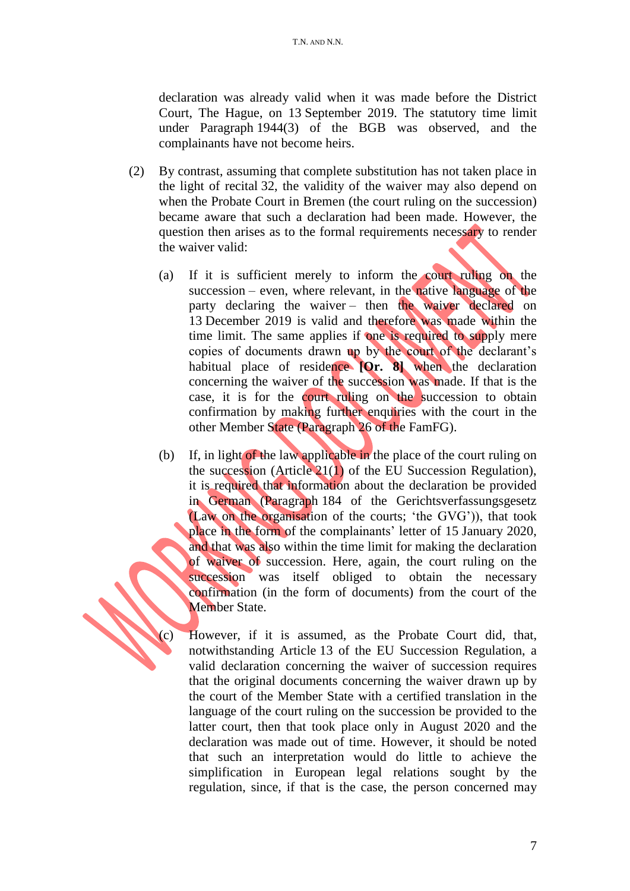declaration was already valid when it was made before the District Court, The Hague, on 13 September 2019. The statutory time limit under Paragraph 1944(3) of the BGB was observed, and the complainants have not become heirs.

- (2) By contrast, assuming that complete substitution has not taken place in the light of recital 32, the validity of the waiver may also depend on when the Probate Court in Bremen (the court ruling on the succession) became aware that such a declaration had been made. However, the question then arises as to the formal requirements necessary to render the waiver valid:
	- (a) If it is sufficient merely to inform the court ruling on the succession – even, where relevant, in the native language of the party declaring the waiver – then the waiver declared on 13 December 2019 is valid and therefore was made within the time limit. The same applies if one is required to supply mere copies of documents drawn up by the court of the declarant's habitual place of residence **[Or. 8]** when the declaration concerning the waiver of the succession was made. If that is the case, it is for the court ruling on the succession to obtain confirmation by making further enquiries with the court in the other Member State (Paragraph 26 of the FamFG).
	- (b) If, in light of the law applicable in the place of the court ruling on the succession (Article 21(1) of the EU Succession Regulation), it is required that information about the declaration be provided in German (Paragraph 184 of the Gerichtsverfassungsgesetz (Law on the organisation of the courts; 'the GVG')), that took place in the form of the complainants' letter of 15 January 2020, and that was also within the time limit for making the declaration of waiver of succession. Here, again, the court ruling on the succession was itself obliged to obtain the necessary confirmation (in the form of documents) from the court of the Member State.

(c) However, if it is assumed, as the Probate Court did, that, notwithstanding Article 13 of the EU Succession Regulation, a valid declaration concerning the waiver of succession requires that the original documents concerning the waiver drawn up by the court of the Member State with a certified translation in the language of the court ruling on the succession be provided to the latter court, then that took place only in August 2020 and the declaration was made out of time. However, it should be noted that such an interpretation would do little to achieve the simplification in European legal relations sought by the regulation, since, if that is the case, the person concerned may